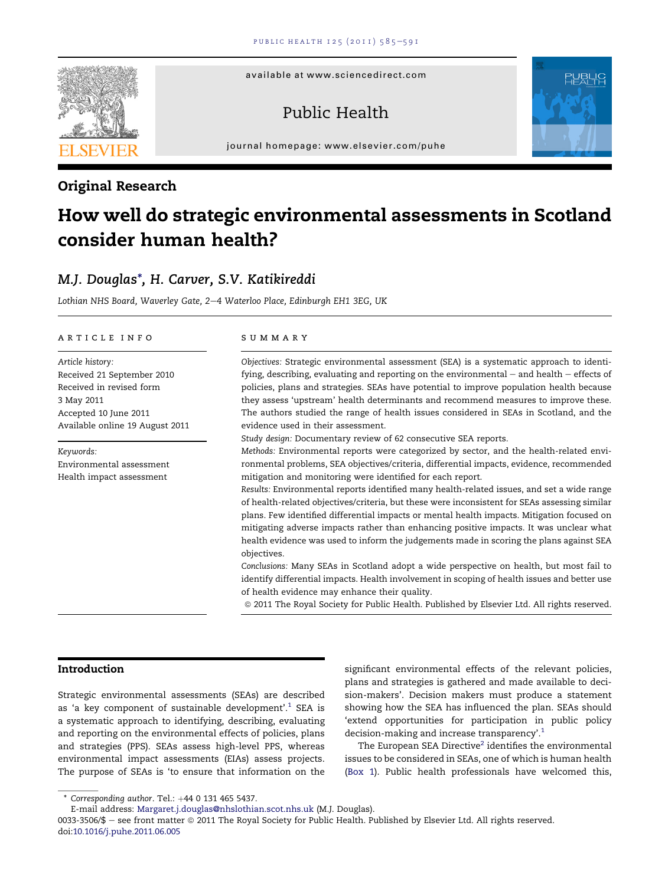available at www.sciencedirect.com

# Public Health

journal homepage: [www.elsevier.com/puhe](http://www.elsevier.com/puhe)

### Original Research

# How well do strategic environmental assessments in Scotland consider human health?

## M.J. Douglas\*, H. Carver, S.V. Katikireddi

Lothian NHS Board, Waverley Gate, 2-4 Waterloo Place, Edinburgh EH1 3EG, UK

#### article info

Article history: Received 21 September 2010 Received in revised form 3 May 2011 Accepted 10 June 2011 Available online 19 August 2011

Keywords: Environmental assessment Health impact assessment

#### summary

Objectives: Strategic environmental assessment (SEA) is a systematic approach to identifying, describing, evaluating and reporting on the environmental  $-$  and health  $-$  effects of policies, plans and strategies. SEAs have potential to improve population health because they assess 'upstream' health determinants and recommend measures to improve these. The authors studied the range of health issues considered in SEAs in Scotland, and the evidence used in their assessment.

Study design: Documentary review of 62 consecutive SEA reports.

Methods: Environmental reports were categorized by sector, and the health-related environmental problems, SEA objectives/criteria, differential impacts, evidence, recommended mitigation and monitoring were identified for each report.

Results: Environmental reports identified many health-related issues, and set a wide range of health-related objectives/criteria, but these were inconsistent for SEAs assessing similar plans. Few identified differential impacts or mental health impacts. Mitigation focused on mitigating adverse impacts rather than enhancing positive impacts. It was unclear what health evidence was used to inform the judgements made in scoring the plans against SEA objectives.

Conclusions: Many SEAs in Scotland adopt a wide perspective on health, but most fail to identify differential impacts. Health involvement in scoping of health issues and better use of health evidence may enhance their quality.

ª 2011 The Royal Society for Public Health. Published by Elsevier Ltd. All rights reserved.

#### Introduction

Strategic environmental assessments (SEAs) are described as 'a key component of sustainable development'.<sup>[1](#page--1-0)</sup> SEA is a systematic approach to identifying, describing, evaluating and reporting on the environmental effects of policies, plans and strategies (PPS). SEAs assess high-level PPS, whereas environmental impact assessments (EIAs) assess projects. The purpose of SEAs is 'to ensure that information on the

significant environmental effects of the relevant policies, plans and strategies is gathered and made available to decision-makers'. Decision makers must produce a statement showing how the SEA has influenced the plan. SEAs should 'extend opportunities for participation in public policy decision-making and increase transparency'.<sup>[1](#page--1-0)</sup>

The European SEA Directive<sup>[2](#page--1-0)</sup> identifies the environmental issues to be considered in SEAs, one of which is human health (Box 1). Public health professionals have welcomed this,





 $*$  Corresponding author. Tel.:  $+44$  0 131 465 5437.

E-mail address: [Margaret.j.douglas@nhslothian.scot.nhs.uk](mailto:Margaret.j.douglas@nhslothian.scot.nhs.uk) (M.J. Douglas).

<sup>0033-3506/\$ -</sup> see front matter © 2011 The Royal Society for Public Health. Published by Elsevier Ltd. All rights reserved. doi[:10.1016/j.puhe.2011.06.005](http://dx.doi.org/10.1016/j.puhe.2011.06.005)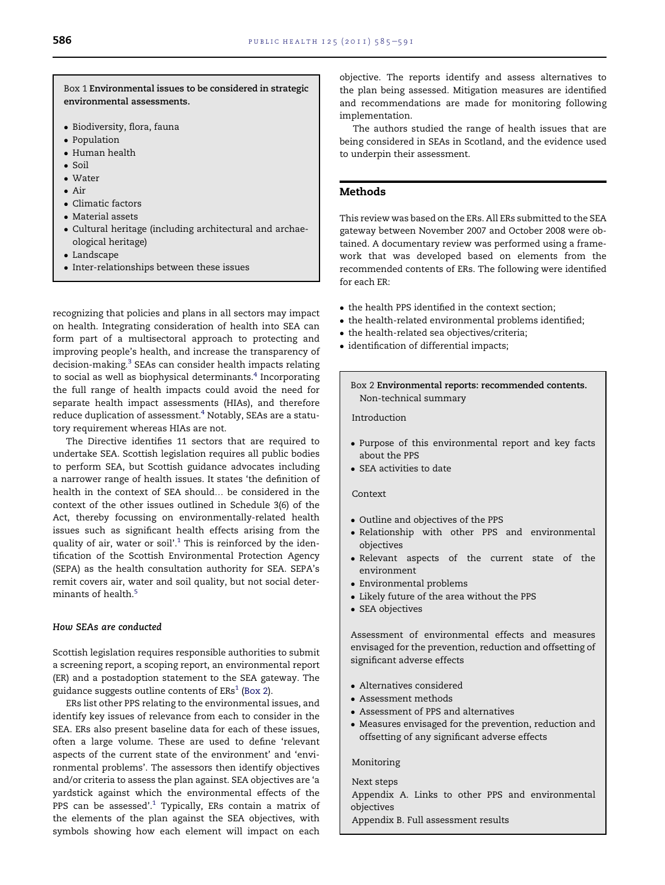Box 1 Environmental issues to be considered in strategic environmental assessments.

- Biodiversity, flora, fauna
- Population
- Human health
- Soil
- Water
- Air
- Climatic factors
- Material assets
- Cultural heritage (including architectural and archaeological heritage)
- Landscape
- $\bullet\,$  Inter-relationships between these issues

recognizing that policies and plans in all sectors may impact on health. Integrating consideration of health into SEA can form part of a multisectoral approach to protecting and improving people's health, and increase the transparency of decision-making.[3](#page--1-0) SEAs can consider health impacts relating to social as well as biophysical determinants.<sup>4</sup> Incorporating the full range of health impacts could avoid the need for separate health impact assessments (HIAs), and therefore reduce duplication of assessment.<sup>4</sup> Notably, SEAs are a statutory requirement whereas HIAs are not.

The Directive identifies 11 sectors that are required to undertake SEA. Scottish legislation requires all public bodies to perform SEA, but Scottish guidance advocates including a narrower range of health issues. It states 'the definition of health in the context of SEA should... be considered in the context of the other issues outlined in Schedule 3(6) of the Act, thereby focussing on environmentally-related health issues such as significant health effects arising from the quality of air, water or soil'.<sup>[1](#page--1-0)</sup> This is reinforced by the identification of the Scottish Environmental Protection Agency (SEPA) as the health consultation authority for SEA. SEPA's remit covers air, water and soil quality, but not social determinants of health.<sup>5</sup>

#### How SEAs are conducted

Scottish legislation requires responsible authorities to submit a screening report, a scoping report, an environmental report (ER) and a postadoption statement to the SEA gateway. The guidance suggests outline contents of  $ERS<sup>1</sup>$  $ERS<sup>1</sup>$  $ERS<sup>1</sup>$  (Box 2).

ERs list other PPS relating to the environmental issues, and identify key issues of relevance from each to consider in the SEA. ERs also present baseline data for each of these issues, often a large volume. These are used to define 'relevant aspects of the current state of the environment' and 'environmental problems'. The assessors then identify objectives and/or criteria to assess the plan against. SEA objectives are 'a yardstick against which the environmental effects of the PPS can be assessed'. $1$  Typically, ERs contain a matrix of the elements of the plan against the SEA objectives, with symbols showing how each element will impact on each

objective. The reports identify and assess alternatives to the plan being assessed. Mitigation measures are identified and recommendations are made for monitoring following implementation.

The authors studied the range of health issues that are being considered in SEAs in Scotland, and the evidence used to underpin their assessment.

#### Methods

This review was based on the ERs. All ERs submitted to the SEA gateway between November 2007 and October 2008 were obtained. A documentary review was performed using a framework that was developed based on elements from the recommended contents of ERs. The following were identified for each ER:

- the health PPS identified in the context section;
- $\bullet$  the health-related environmental problems identified;
- $\bullet\,$  the health-related sea objectives/criteria;
- identification of differential impacts;

Box 2 Environmental reports: recommended contents. Non-technical summary

Introduction

- Purpose of this environmental report and key facts about the PPS
- SEA activities to date

#### Context

- Outline and objectives of the PPS
- Relationship with other PPS and environmental objectives
- Relevant aspects of the current state of the environment
- Environmental problems
- Likely future of the area without the PPS
- $\bullet$  SEA objectives

Assessment of environmental effects and measures envisaged for the prevention, reduction and offsetting of significant adverse effects

- Alternatives considered
- Assessment methods
- Assessment of PPS and alternatives
- Measures envisaged for the prevention, reduction and offsetting of any significant adverse effects

#### Monitoring

Next steps

Appendix A. Links to other PPS and environmental objectives

Appendix B. Full assessment results